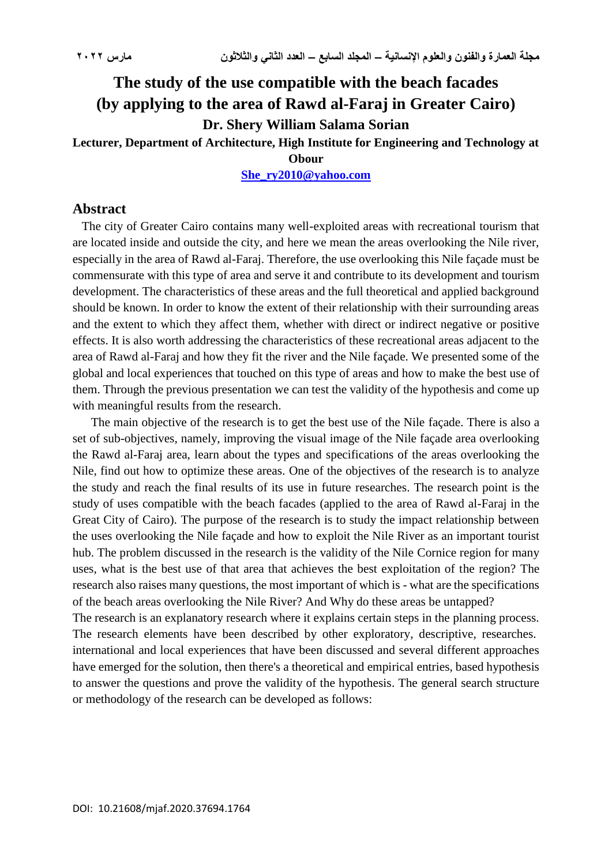# **The study of the use compatible with the beach facades (by applying to the area of Rawd al-Faraj in Greater Cairo) Dr. Shery William Salama Sorian**

**Lecturer, Department of Architecture, High Institute for Engineering and Technology at** 

## **Obour**

**[She\\_ry2010@yahoo.com](mailto:She_ry2010@yahoo.com)**

## **Abstract**

 The city of Greater Cairo contains many well-exploited areas with recreational tourism that are located inside and outside the city, and here we mean the areas overlooking the Nile river, especially in the area of Rawd al-Faraj. Therefore, the use overlooking this Nile façade must be commensurate with this type of area and serve it and contribute to its development and tourism development. The characteristics of these areas and the full theoretical and applied background should be known. In order to know the extent of their relationship with their surrounding areas and the extent to which they affect them, whether with direct or indirect negative or positive effects. It is also worth addressing the characteristics of these recreational areas adjacent to the area of Rawd al-Faraj and how they fit the river and the Nile façade. We presented some of the global and local experiences that touched on this type of areas and how to make the best use of them. Through the previous presentation we can test the validity of the hypothesis and come up with meaningful results from the research.

The main objective of the research is to get the best use of the Nile facade. There is also a set of sub-objectives, namely, improving the visual image of the Nile façade area overlooking the Rawd al-Faraj area, learn about the types and specifications of the areas overlooking the Nile, find out how to optimize these areas. One of the objectives of the research is to analyze the study and reach the final results of its use in future researches. The research point is the study of uses compatible with the beach facades (applied to the area of Rawd al-Faraj in the Great City of Cairo). The purpose of the research is to study the impact relationship between the uses overlooking the Nile façade and how to exploit the Nile River as an important tourist hub. The problem discussed in the research is the validity of the Nile Cornice region for many uses, what is the best use of that area that achieves the best exploitation of the region? The research also raises many questions, the most important of which is - what are the specifications of the beach areas overlooking the Nile River? And Why do these areas be untapped?

The research is an explanatory research where it explains certain steps in the planning process. The research elements have been described by other exploratory, descriptive, researches. international and local experiences that have been discussed and several different approaches have emerged for the solution, then there's a theoretical and empirical entries, based hypothesis to answer the questions and prove the validity of the hypothesis. The general search structure or methodology of the research can be developed as follows: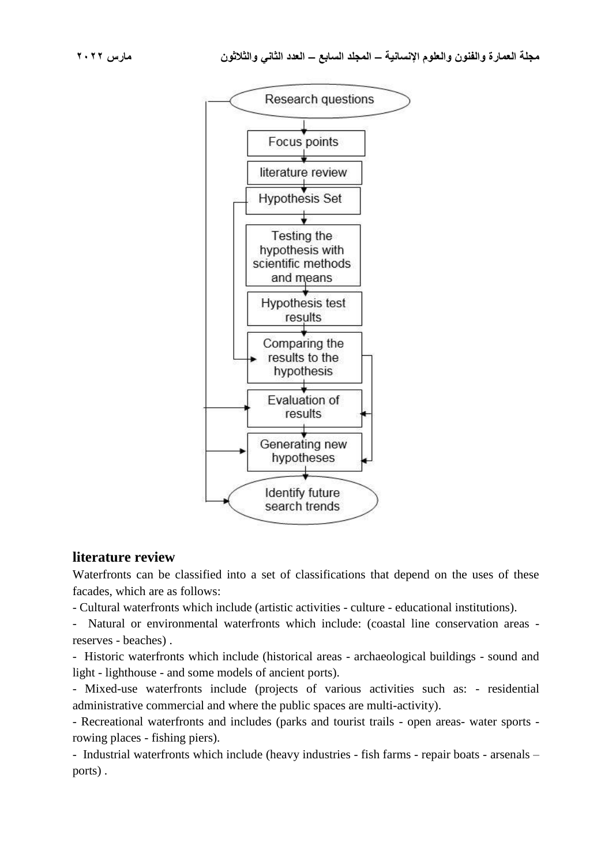

## **literature review**

Waterfronts can be classified into a set of classifications that depend on the uses of these facades, which are as follows:

- Cultural waterfronts which include (artistic activities - culture - educational institutions).

- Natural or environmental waterfronts which include: (coastal line conservation areas reserves - beaches) .

- Historic waterfronts which include (historical areas - archaeological buildings - sound and light - lighthouse - and some models of ancient ports).

- Mixed-use waterfronts include (projects of various activities such as: - residential administrative commercial and where the public spaces are multi-activity).

- Recreational waterfronts and includes (parks and tourist trails - open areas- water sports rowing places - fishing piers).

- Industrial waterfronts which include (heavy industries - fish farms - repair boats - arsenals – ports) .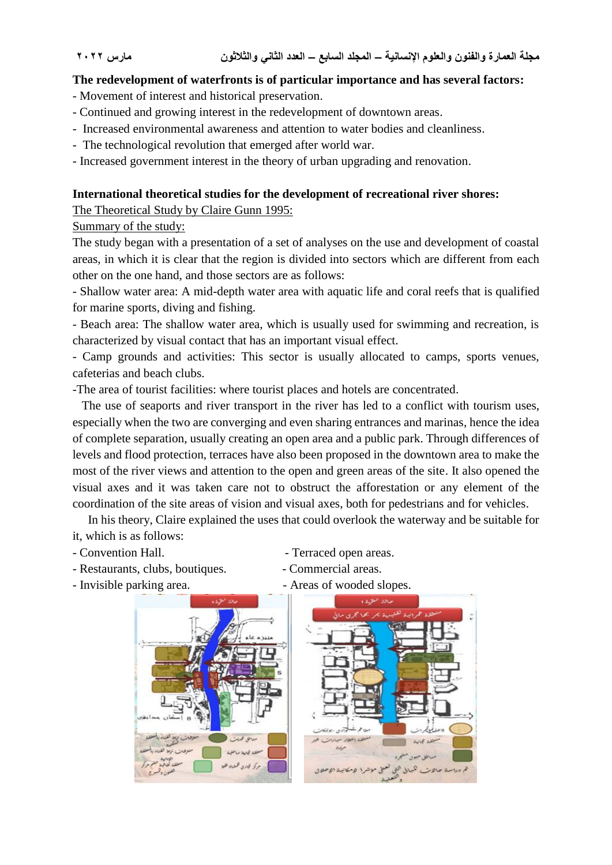## **The redevelopment of waterfronts is of particular importance and has several factors:**

- Movement of interest and historical preservation.
- Continued and growing interest in the redevelopment of downtown areas.
- Increased environmental awareness and attention to water bodies and cleanliness.
- The technological revolution that emerged after world war.
- Increased government interest in the theory of urban upgrading and renovation.

## **International theoretical studies for the development of recreational river shores:**

The Theoretical Study by Claire Gunn 1995:

## Summary of the study:

The study began with a presentation of a set of analyses on the use and development of coastal areas, in which it is clear that the region is divided into sectors which are different from each other on the one hand, and those sectors are as follows:

- Shallow water area: A mid-depth water area with aquatic life and coral reefs that is qualified for marine sports, diving and fishing.

- Beach area: The shallow water area, which is usually used for swimming and recreation, is characterized by visual contact that has an important visual effect.

- Camp grounds and activities: This sector is usually allocated to camps, sports venues, cafeterias and beach clubs.

-The area of tourist facilities: where tourist places and hotels are concentrated.

 The use of seaports and river transport in the river has led to a conflict with tourism uses, especially when the two are converging and even sharing entrances and marinas, hence the idea of complete separation, usually creating an open area and a public park. Through differences of levels and flood protection, terraces have also been proposed in the downtown area to make the most of the river views and attention to the open and green areas of the site. It also opened the visual axes and it was taken care not to obstruct the afforestation or any element of the coordination of the site areas of vision and visual axes, both for pedestrians and for vehicles.

 In his theory, Claire explained the uses that could overlook the waterway and be suitable for it, which is as follows:

- 
- Restaurants, clubs, boutiques.  $\blacksquare$  Commercial areas.
- Invisible parking area.  $\blacksquare$  Areas of wooded slopes.
- Convention Hall.  **Terraced open areas.** 
	-
	-
- 

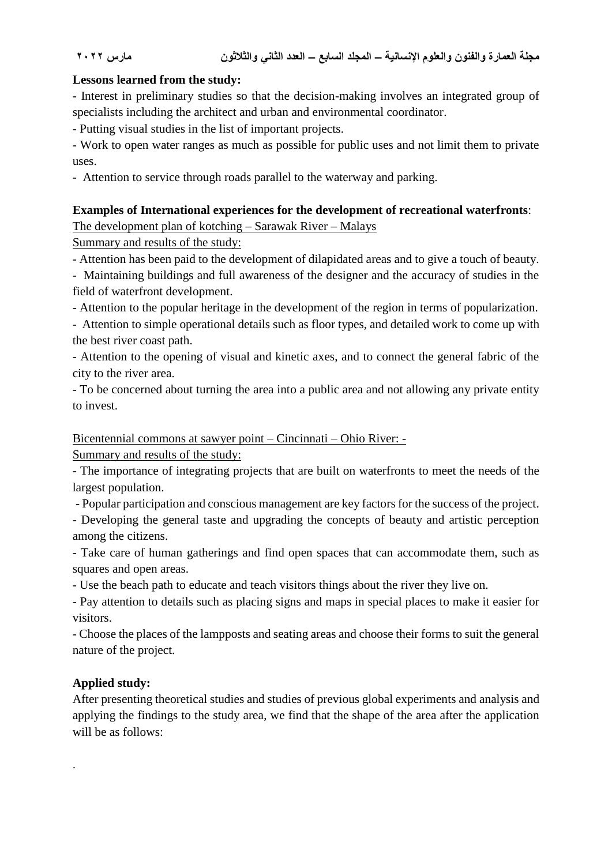## **Lessons learned from the study:**

- Interest in preliminary studies so that the decision-making involves an integrated group of specialists including the architect and urban and environmental coordinator.

- Putting visual studies in the list of important projects.

- Work to open water ranges as much as possible for public uses and not limit them to private uses.

- Attention to service through roads parallel to the waterway and parking.

## **Examples of International experiences for the development of recreational waterfronts**:

The development plan of kotching – Sarawak River – Malays

Summary and results of the study:

- Attention has been paid to the development of dilapidated areas and to give a touch of beauty.

- Maintaining buildings and full awareness of the designer and the accuracy of studies in the field of waterfront development.

- Attention to the popular heritage in the development of the region in terms of popularization.

- Attention to simple operational details such as floor types, and detailed work to come up with the best river coast path.

- Attention to the opening of visual and kinetic axes, and to connect the general fabric of the city to the river area.

- To be concerned about turning the area into a public area and not allowing any private entity to invest.

Bicentennial commons at sawyer point – Cincinnati – Ohio River: -

Summary and results of the study:

- The importance of integrating projects that are built on waterfronts to meet the needs of the largest population.

- Popular participation and conscious management are key factors for the success of the project.

- Developing the general taste and upgrading the concepts of beauty and artistic perception among the citizens.

- Take care of human gatherings and find open spaces that can accommodate them, such as squares and open areas.

- Use the beach path to educate and teach visitors things about the river they live on.

- Pay attention to details such as placing signs and maps in special places to make it easier for visitors.

- Choose the places of the lampposts and seating areas and choose their forms to suit the general nature of the project.

## **Applied study:**

.

After presenting theoretical studies and studies of previous global experiments and analysis and applying the findings to the study area, we find that the shape of the area after the application will be as follows: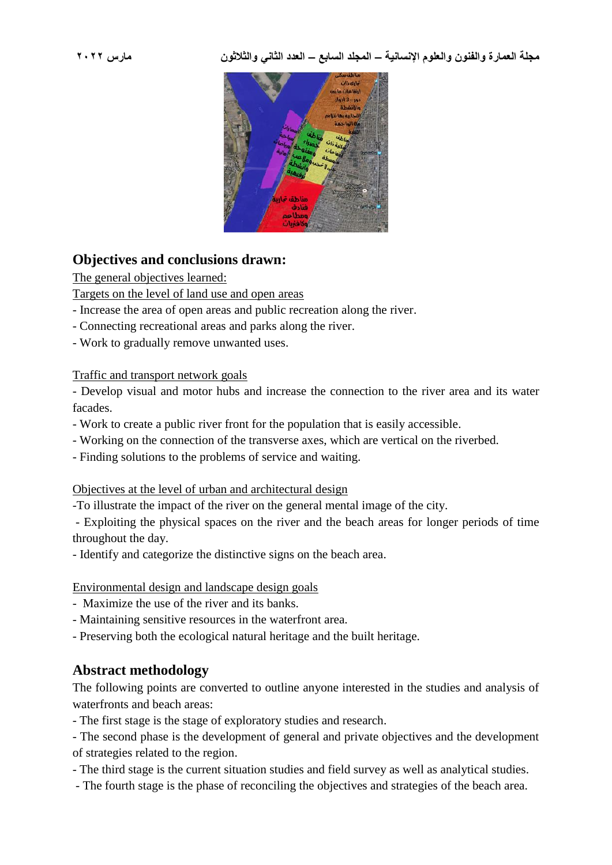

## **Objectives and conclusions drawn:**

The general objectives learned:

Targets on the level of land use and open areas

- Increase the area of open areas and public recreation along the river.
- Connecting recreational areas and parks along the river.
- Work to gradually remove unwanted uses.

## Traffic and transport network goals

- Develop visual and motor hubs and increase the connection to the river area and its water facades.

- Work to create a public river front for the population that is easily accessible.
- Working on the connection of the transverse axes, which are vertical on the riverbed.
- Finding solutions to the problems of service and waiting.

Objectives at the level of urban and architectural design

-To illustrate the impact of the river on the general mental image of the city.

- Exploiting the physical spaces on the river and the beach areas for longer periods of time throughout the day.

- Identify and categorize the distinctive signs on the beach area.

## Environmental design and landscape design goals

- Maximize the use of the river and its banks.
- Maintaining sensitive resources in the waterfront area.
- Preserving both the ecological natural heritage and the built heritage.

## **Abstract methodology**

The following points are converted to outline anyone interested in the studies and analysis of waterfronts and beach areas:

- The first stage is the stage of exploratory studies and research.

- The second phase is the development of general and private objectives and the development of strategies related to the region.

- The third stage is the current situation studies and field survey as well as analytical studies.

- The fourth stage is the phase of reconciling the objectives and strategies of the beach area.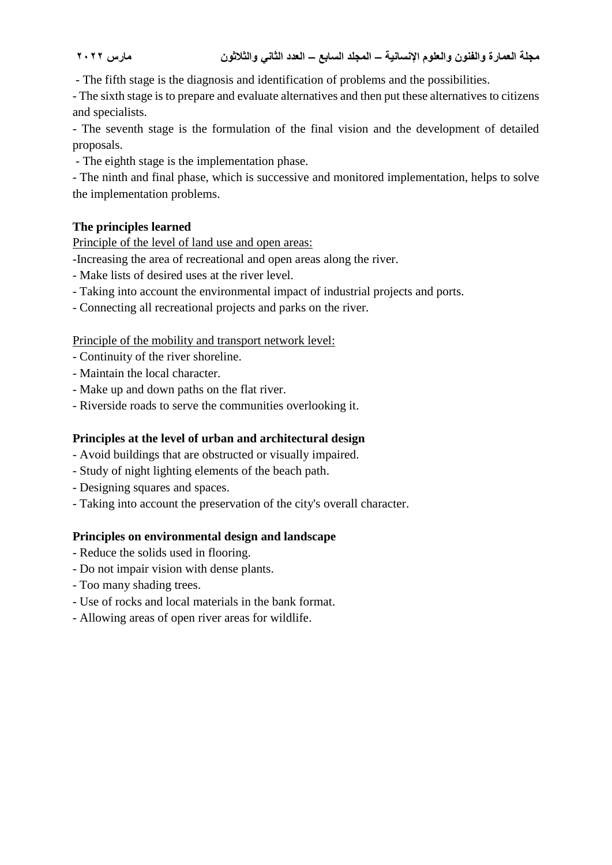- The fifth stage is the diagnosis and identification of problems and the possibilities.

- The sixth stage is to prepare and evaluate alternatives and then put these alternatives to citizens and specialists.

- The seventh stage is the formulation of the final vision and the development of detailed proposals.

- The eighth stage is the implementation phase.

- The ninth and final phase, which is successive and monitored implementation, helps to solve the implementation problems.

## **The principles learned**

Principle of the level of land use and open areas:

-Increasing the area of recreational and open areas along the river.

- Make lists of desired uses at the river level.
- Taking into account the environmental impact of industrial projects and ports.
- Connecting all recreational projects and parks on the river.

## Principle of the mobility and transport network level:

- Continuity of the river shoreline.
- Maintain the local character.
- Make up and down paths on the flat river.
- Riverside roads to serve the communities overlooking it.

## **Principles at the level of urban and architectural design**

- Avoid buildings that are obstructed or visually impaired.
- Study of night lighting elements of the beach path.
- Designing squares and spaces.
- Taking into account the preservation of the city's overall character.

## **Principles on environmental design and landscape**

- Reduce the solids used in flooring.
- Do not impair vision with dense plants.
- Too many shading trees.
- Use of rocks and local materials in the bank format.
- Allowing areas of open river areas for wildlife.